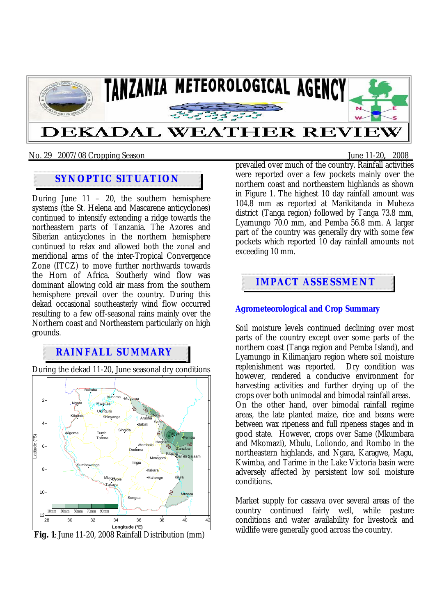

#### No. 29 2007/08 Cropping Season June 11-20**,** 2008

## **SYNOPTIC SITUATION**

During June  $11 - 20$ , the southern hemisphere systems (the St. Helena and Mascarene anticyclones) continued to intensify extending a ridge towards the northeastern parts of Tanzania. The Azores and Siberian anticyclones in the northern hemisphere continued to relax and allowed both the zonal and meridional arms of the inter-Tropical Convergence Zone (ITCZ) to move further northwards towards the Horn of Africa. Southerly wind flow was dominant allowing cold air mass from the southern hemisphere prevail over the country. During this dekad occasional southeasterly wind flow occurred resulting to a few off-seasonal rains mainly over the Northern coast and Northeastern particularly on high grounds.

## **RAINFALL SUMMARY**

During the dekad 11-20, June seasonal dry conditions



 **Fig. 1**: June 11-20, 2008 Rainfall Distribution (mm)

prevailed over much of the country. Rainfall activities were reported over a few pockets mainly over the northern coast and northeastern highlands as shown in Figure 1. The highest 10 day rainfall amount was 104.8 mm as reported at Marikitanda in Muheza district (Tanga region) followed by Tanga 73.8 mm, Lyamungo 70.0 mm, and Pemba 56.8 mm. A larger part of the country was generally dry with some few pockets which reported 10 day rainfall amounts not exceeding 10 mm.

# **IMPACT ASSESSMENT**

#### **Agrometeorological and Crop Summary**

Soil moisture levels continued declining over most parts of the country except over some parts of the northern coast (Tanga region and Pemba Island), and Lyamungo in Kilimanjaro region where soil moisture replenishment was reported. Dry condition was however, rendered a conducive environment for harvesting activities and further drying up of the crops over both unimodal and bimodal rainfall areas. On the other hand, over bimodal rainfall regime areas, the late planted maize, rice and beans were between wax ripeness and full ripeness stages and in good state. However, crops over Same (Mkumbara and Mkomazi), Mbulu, Loliondo, and Rombo in the northeastern highlands, and Ngara, Karagwe, Magu, Kwimba, and Tarime in the Lake Victoria basin were adversely affected by persistent low soil moisture conditions.

Market supply for cassava over several areas of the country continued fairly well, while pasture conditions and water availability for livestock and wildlife were generally good across the country.